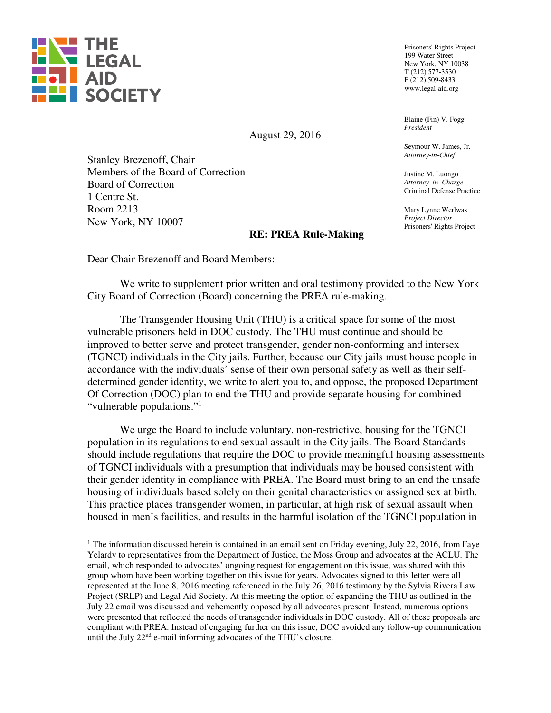

 $\overline{a}$ 

Prisoners' Rights Project 199 Water Street New York, NY 10038 T (212) 577-3530 F (212) 509-8433 www.legal-aid.org

Blaine (Fin) V. Fogg *President*

Seymour W. James, Jr. *Attorney-in-Chief* 

Justine M. Luongo *Attorney–in–Charge* Criminal Defense Practice

Mary Lynne Werlwas *Project Director* Prisoners' Rights Project

August 29, 2016

Stanley Brezenoff, Chair Members of the Board of Correction Board of Correction 1 Centre St. Room 2213 New York, NY 10007

# **RE: PREA Rule-Making**

Dear Chair Brezenoff and Board Members:

We write to supplement prior written and oral testimony provided to the New York City Board of Correction (Board) concerning the PREA rule-making.

The Transgender Housing Unit (THU) is a critical space for some of the most vulnerable prisoners held in DOC custody. The THU must continue and should be improved to better serve and protect transgender, gender non-conforming and intersex (TGNCI) individuals in the City jails. Further, because our City jails must house people in accordance with the individuals' sense of their own personal safety as well as their selfdetermined gender identity, we write to alert you to, and oppose, the proposed Department Of Correction (DOC) plan to end the THU and provide separate housing for combined "vulnerable populations."<sup>1</sup>

We urge the Board to include voluntary, non-restrictive, housing for the TGNCI population in its regulations to end sexual assault in the City jails. The Board Standards should include regulations that require the DOC to provide meaningful housing assessments of TGNCI individuals with a presumption that individuals may be housed consistent with their gender identity in compliance with PREA. The Board must bring to an end the unsafe housing of individuals based solely on their genital characteristics or assigned sex at birth. This practice places transgender women, in particular, at high risk of sexual assault when housed in men's facilities, and results in the harmful isolation of the TGNCI population in

<sup>&</sup>lt;sup>1</sup> The information discussed herein is contained in an email sent on Friday evening, July 22, 2016, from Faye Yelardy to representatives from the Department of Justice, the Moss Group and advocates at the ACLU. The email, which responded to advocates' ongoing request for engagement on this issue, was shared with this group whom have been working together on this issue for years. Advocates signed to this letter were all represented at the June 8, 2016 meeting referenced in the July 26, 2016 testimony by the Sylvia Rivera Law Project (SRLP) and Legal Aid Society. At this meeting the option of expanding the THU as outlined in the July 22 email was discussed and vehemently opposed by all advocates present. Instead, numerous options were presented that reflected the needs of transgender individuals in DOC custody. All of these proposals are compliant with PREA. Instead of engaging further on this issue, DOC avoided any follow-up communication until the July 22<sup>nd</sup> e-mail informing advocates of the THU's closure.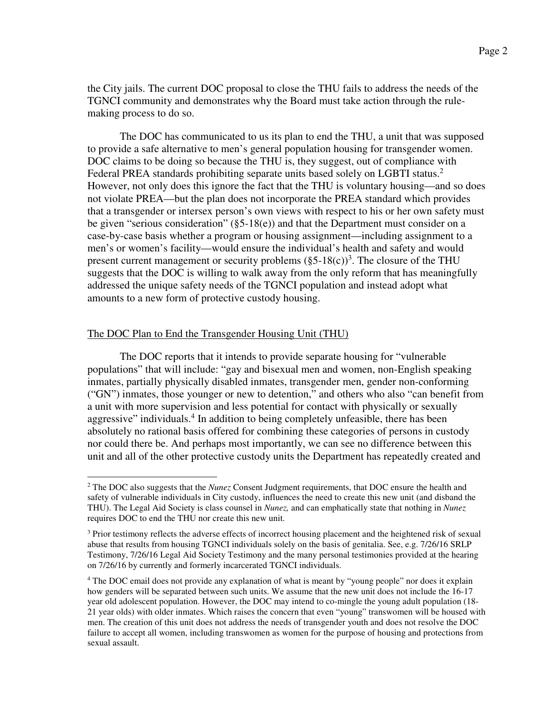the City jails. The current DOC proposal to close the THU fails to address the needs of the TGNCI community and demonstrates why the Board must take action through the rulemaking process to do so.

The DOC has communicated to us its plan to end the THU, a unit that was supposed to provide a safe alternative to men's general population housing for transgender women. DOC claims to be doing so because the THU is, they suggest, out of compliance with Federal PREA standards prohibiting separate units based solely on LGBTI status.<sup>2</sup> However, not only does this ignore the fact that the THU is voluntary housing—and so does not violate PREA—but the plan does not incorporate the PREA standard which provides that a transgender or intersex person's own views with respect to his or her own safety must be given "serious consideration" (§5-18(e)) and that the Department must consider on a case-by-case basis whether a program or housing assignment—including assignment to a men's or women's facility—would ensure the individual's health and safety and would present current management or security problems  $(\S 5{\text -}18(c))^3$ . The closure of the THU suggests that the DOC is willing to walk away from the only reform that has meaningfully addressed the unique safety needs of the TGNCI population and instead adopt what amounts to a new form of protective custody housing.

## The DOC Plan to End the Transgender Housing Unit (THU)

The DOC reports that it intends to provide separate housing for "vulnerable populations" that will include: "gay and bisexual men and women, non-English speaking inmates, partially physically disabled inmates, transgender men, gender non-conforming ("GN") inmates, those younger or new to detention," and others who also "can benefit from a unit with more supervision and less potential for contact with physically or sexually aggressive" individuals.<sup>4</sup> In addition to being completely unfeasible, there has been absolutely no rational basis offered for combining these categories of persons in custody nor could there be. And perhaps most importantly, we can see no difference between this unit and all of the other protective custody units the Department has repeatedly created and

 $\overline{a}$ 2 The DOC also suggests that the *Nunez* Consent Judgment requirements, that DOC ensure the health and safety of vulnerable individuals in City custody, influences the need to create this new unit (and disband the THU). The Legal Aid Society is class counsel in *Nunez,* and can emphatically state that nothing in *Nunez* requires DOC to end the THU nor create this new unit.

 $3$  Prior testimony reflects the adverse effects of incorrect housing placement and the heightened risk of sexual abuse that results from housing TGNCI individuals solely on the basis of genitalia. See, e.g. 7/26/16 SRLP Testimony, 7/26/16 Legal Aid Society Testimony and the many personal testimonies provided at the hearing on 7/26/16 by currently and formerly incarcerated TGNCI individuals.

<sup>&</sup>lt;sup>4</sup> The DOC email does not provide any explanation of what is meant by "young people" nor does it explain how genders will be separated between such units. We assume that the new unit does not include the 16-17 year old adolescent population. However, the DOC may intend to co-mingle the young adult population (18- 21 year olds) with older inmates. Which raises the concern that even "young" transwomen will be housed with men. The creation of this unit does not address the needs of transgender youth and does not resolve the DOC failure to accept all women, including transwomen as women for the purpose of housing and protections from sexual assault.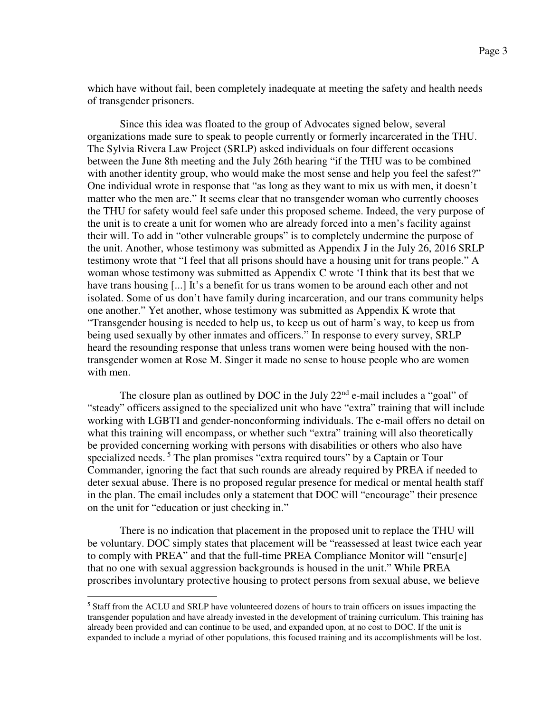which have without fail, been completely inadequate at meeting the safety and health needs of transgender prisoners.

Since this idea was floated to the group of Advocates signed below, several organizations made sure to speak to people currently or formerly incarcerated in the THU. The Sylvia Rivera Law Project (SRLP) asked individuals on four different occasions between the June 8th meeting and the July 26th hearing "if the THU was to be combined with another identity group, who would make the most sense and help you feel the safest?" One individual wrote in response that "as long as they want to mix us with men, it doesn't matter who the men are." It seems clear that no transgender woman who currently chooses the THU for safety would feel safe under this proposed scheme. Indeed, the very purpose of the unit is to create a unit for women who are already forced into a men's facility against their will. To add in "other vulnerable groups" is to completely undermine the purpose of the unit. Another, whose testimony was submitted as Appendix J in the July 26, 2016 SRLP testimony wrote that "I feel that all prisons should have a housing unit for trans people." A woman whose testimony was submitted as Appendix C wrote 'I think that its best that we have trans housing [...] It's a benefit for us trans women to be around each other and not isolated. Some of us don't have family during incarceration, and our trans community helps one another." Yet another, whose testimony was submitted as Appendix K wrote that "Transgender housing is needed to help us, to keep us out of harm's way, to keep us from being used sexually by other inmates and officers." In response to every survey, SRLP heard the resounding response that unless trans women were being housed with the nontransgender women at Rose M. Singer it made no sense to house people who are women with men.

The closure plan as outlined by DOC in the July  $22<sup>nd</sup>$  e-mail includes a "goal" of "steady" officers assigned to the specialized unit who have "extra" training that will include working with LGBTI and gender-nonconforming individuals. The e-mail offers no detail on what this training will encompass, or whether such "extra" training will also theoretically be provided concerning working with persons with disabilities or others who also have specialized needs.<sup>5</sup> The plan promises "extra required tours" by a Captain or Tour Commander, ignoring the fact that such rounds are already required by PREA if needed to deter sexual abuse. There is no proposed regular presence for medical or mental health staff in the plan. The email includes only a statement that DOC will "encourage" their presence on the unit for "education or just checking in."

There is no indication that placement in the proposed unit to replace the THU will be voluntary. DOC simply states that placement will be "reassessed at least twice each year to comply with PREA" and that the full-time PREA Compliance Monitor will "ensur[e] that no one with sexual aggression backgrounds is housed in the unit." While PREA proscribes involuntary protective housing to protect persons from sexual abuse, we believe

 $\overline{a}$ 

<sup>&</sup>lt;sup>5</sup> Staff from the ACLU and SRLP have volunteered dozens of hours to train officers on issues impacting the transgender population and have already invested in the development of training curriculum. This training has already been provided and can continue to be used, and expanded upon, at no cost to DOC. If the unit is expanded to include a myriad of other populations, this focused training and its accomplishments will be lost.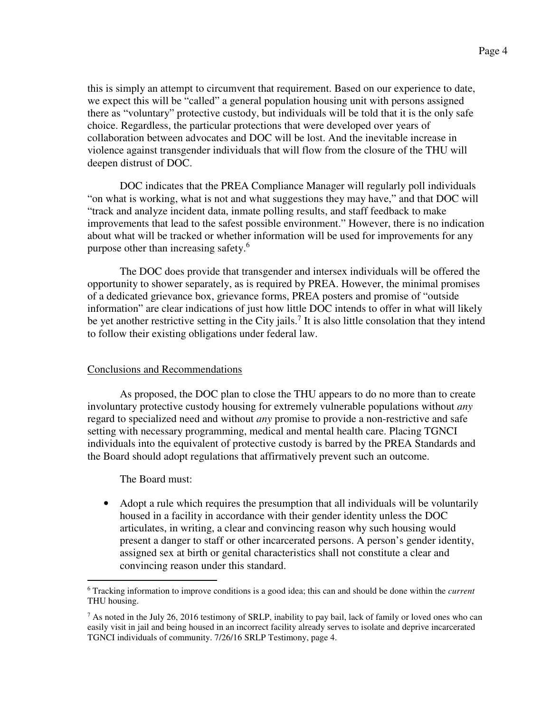this is simply an attempt to circumvent that requirement. Based on our experience to date, we expect this will be "called" a general population housing unit with persons assigned there as "voluntary" protective custody, but individuals will be told that it is the only safe choice. Regardless, the particular protections that were developed over years of collaboration between advocates and DOC will be lost. And the inevitable increase in violence against transgender individuals that will flow from the closure of the THU will deepen distrust of DOC.

DOC indicates that the PREA Compliance Manager will regularly poll individuals "on what is working, what is not and what suggestions they may have," and that DOC will "track and analyze incident data, inmate polling results, and staff feedback to make improvements that lead to the safest possible environment." However, there is no indication about what will be tracked or whether information will be used for improvements for any purpose other than increasing safety.<sup>6</sup>

The DOC does provide that transgender and intersex individuals will be offered the opportunity to shower separately, as is required by PREA. However, the minimal promises of a dedicated grievance box, grievance forms, PREA posters and promise of "outside information" are clear indications of just how little DOC intends to offer in what will likely be yet another restrictive setting in the City jails.<sup>7</sup> It is also little consolation that they intend to follow their existing obligations under federal law.

# Conclusions and Recommendations

As proposed, the DOC plan to close the THU appears to do no more than to create involuntary protective custody housing for extremely vulnerable populations without *any* regard to specialized need and without *any* promise to provide a non-restrictive and safe setting with necessary programming, medical and mental health care. Placing TGNCI individuals into the equivalent of protective custody is barred by the PREA Standards and the Board should adopt regulations that affirmatively prevent such an outcome.

The Board must:

 $\overline{a}$ 

• Adopt a rule which requires the presumption that all individuals will be voluntarily housed in a facility in accordance with their gender identity unless the DOC articulates, in writing, a clear and convincing reason why such housing would present a danger to staff or other incarcerated persons. A person's gender identity, assigned sex at birth or genital characteristics shall not constitute a clear and convincing reason under this standard.

<sup>6</sup> Tracking information to improve conditions is a good idea; this can and should be done within the *current* THU housing.

<sup>&</sup>lt;sup>7</sup> As noted in the July 26, 2016 testimony of SRLP, inability to pay bail, lack of family or loved ones who can easily visit in jail and being housed in an incorrect facility already serves to isolate and deprive incarcerated TGNCI individuals of community. 7/26/16 SRLP Testimony, page 4.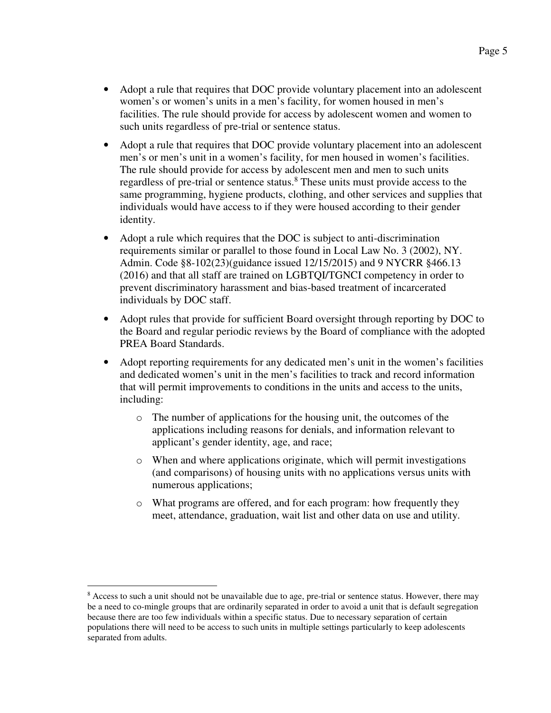- Adopt a rule that requires that DOC provide voluntary placement into an adolescent women's or women's units in a men's facility, for women housed in men's facilities. The rule should provide for access by adolescent women and women to such units regardless of pre-trial or sentence status.
- Adopt a rule that requires that DOC provide voluntary placement into an adolescent men's or men's unit in a women's facility, for men housed in women's facilities. The rule should provide for access by adolescent men and men to such units regardless of pre-trial or sentence status.<sup>8</sup> These units must provide access to the same programming, hygiene products, clothing, and other services and supplies that individuals would have access to if they were housed according to their gender identity.
- Adopt a rule which requires that the DOC is subject to anti-discrimination requirements similar or parallel to those found in Local Law No. 3 (2002), NY. Admin. Code §8-102(23)(guidance issued 12/15/2015) and 9 NYCRR §466.13 (2016) and that all staff are trained on LGBTQI/TGNCI competency in order to prevent discriminatory harassment and bias-based treatment of incarcerated individuals by DOC staff.
- Adopt rules that provide for sufficient Board oversight through reporting by DOC to the Board and regular periodic reviews by the Board of compliance with the adopted PREA Board Standards.
- Adopt reporting requirements for any dedicated men's unit in the women's facilities and dedicated women's unit in the men's facilities to track and record information that will permit improvements to conditions in the units and access to the units, including:
	- o The number of applications for the housing unit, the outcomes of the applications including reasons for denials, and information relevant to applicant's gender identity, age, and race;
	- o When and where applications originate, which will permit investigations (and comparisons) of housing units with no applications versus units with numerous applications;
	- o What programs are offered, and for each program: how frequently they meet, attendance, graduation, wait list and other data on use and utility.

 $\overline{a}$ 

<sup>&</sup>lt;sup>8</sup> Access to such a unit should not be unavailable due to age, pre-trial or sentence status. However, there may be a need to co-mingle groups that are ordinarily separated in order to avoid a unit that is default segregation because there are too few individuals within a specific status. Due to necessary separation of certain populations there will need to be access to such units in multiple settings particularly to keep adolescents separated from adults.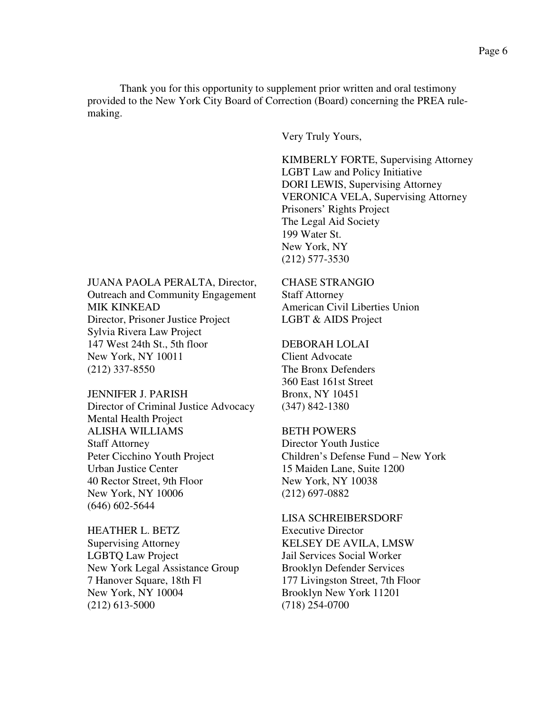Thank you for this opportunity to supplement prior written and oral testimony provided to the New York City Board of Correction (Board) concerning the PREA rulemaking.

Very Truly Yours,

KIMBERLY FORTE, Supervising Attorney LGBT Law and Policy Initiative DORI LEWIS, Supervising Attorney VERONICA VELA, Supervising Attorney Prisoners' Rights Project The Legal Aid Society 199 Water St. New York, NY (212) 577-3530

JUANA PAOLA PERALTA, Director, CHASE STRANGIO Outreach and Community Engagement Staff Attorney MIK KINKEAD **American Civil Liberties Union** Director, Prisoner Justice Project LGBT & AIDS Project Sylvia Rivera Law Project 147 West 24th St., 5th floor DEBORAH LOLAI New York, NY 10011 Client Advocate (212) 337-8550 The Bronx Defenders

JENNIFER J. PARISH Bronx, NY 10451 Director of Criminal Justice Advocacy (347) 842-1380 Mental Health Project ALISHA WILLIAMS BETH POWERS Staff Attorney Director Youth Justice Peter Cicchino Youth Project Children's Defense Fund – New York Urban Justice Center 15 Maiden Lane, Suite 1200 40 Rector Street, 9th Floor New York, NY 10038 New York, NY 10006 (212) 697-0882 (646) 602-5644

HEATHER L. BETZ Executive Director Supervising Attorney KELSEY DE AVILA, LMSW LGBTQ Law Project Jail Services Social Worker New York Legal Assistance Group Brooklyn Defender Services 7 Hanover Square, 18th Fl 177 Livingston Street, 7th Floor New York, NY 10004 Brooklyn New York 11201 (212) 613-5000 (718) 254-0700

360 East 161st Street

LISA SCHREIBERSDORF